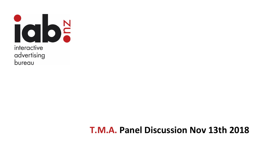

# **T.M.A. Panel Discussion Nov 13th 2018**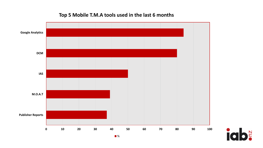### Top 5 Mobile T.M.A tools used in the last 6 months



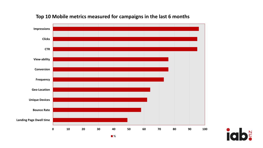

#### Top 10 Mobile metrics measured for campaigns in the last 6 months

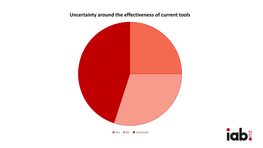#### Uncertainty around the effectiveness of current tools



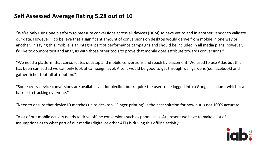## **Self Assessed Average Rating 5.28 out of 10**

"We're only using one platform to measure conversions across all devices (DCM) so have yet to add in another vendor to validate our data. However, I do believe that a significant amount of conversions on desktop would derive from mobile in one way or another. In saying this, mobile is an integral part of performance campaigns and should be included in all media plans, however, I'd like to do more test and analysis with those other tools to prove that mobile does attribute towards conversions."

"We need a platform that consolidates desktop and mobile conversions and reach by placement. We used to use Atlas but this has been sun-setted we can only look at campaign level. Also it would be good to get through wall gardens (i.e. facebook) and gather richer footfall attribution."

"Some cross-device conversions are available via doubleclick, but require the user to be logged into a Google account, which is a barrier to tracking everyone."

"Need to ensure that device ID matches up to desktop. "Finger-printing" is the best solution for now but is not 100% accurate."

"Alot of our mobile activity needs to drive offline conversions such as phone calls. At present we have to make a lot of assumptions as to what part of our media (digital or other ATL) is driving this offline activity."